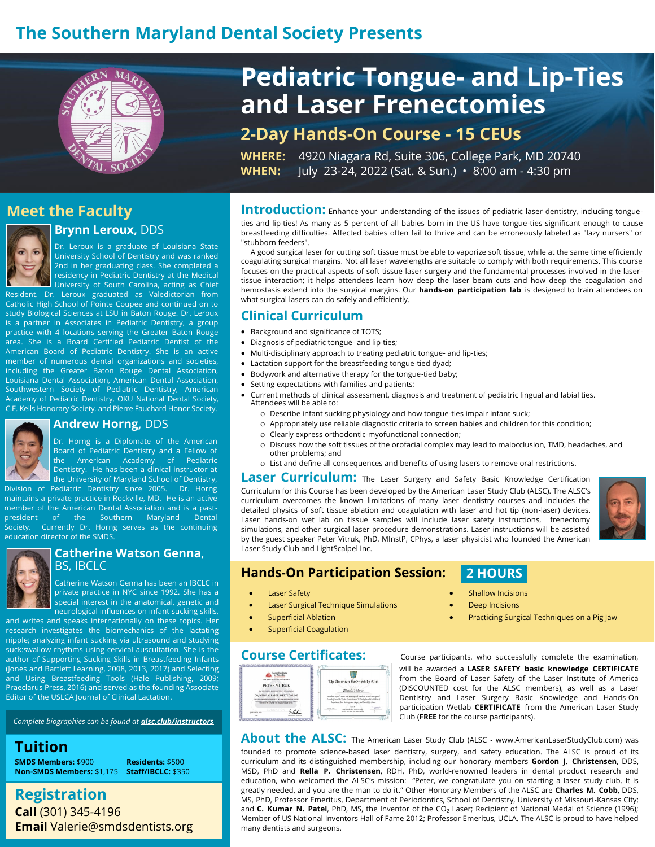# **The Southern Maryland Dental Society Presents**



# **Pediatric Tongue- and Lip-Ties and Laser Frenectomies**

**2-Day Hands-On Course - 15 CEUs**

**WHERE:** 4920 Niagara Rd, Suite 306, College Park, MD 20740 **WHEN:** July 23-24, 2022 (Sat. & Sun.) • 8:00 am - 4:30 pm

# **Meet the Faculty**



## **Brynn Leroux,** DDS

Dr. Leroux is a graduate of Louisiana State University School of Dentistry and was ranked 2nd in her graduating class. She completed a residency in Pediatric Dentistry at the Medical University of South Carolina, acting as Chief

Resident. Dr. Leroux graduated as Valedictorian from Catholic High School of Pointe Coupee and continued on to study Biological Sciences at LSU in Baton Rouge. Dr. Leroux is a partner in Associates in Pediatric Dentistry, a group practice with 4 locations serving the Greater Baton Rouge area. She is a Board Certified Pediatric Dentist of the American Board of Pediatric Dentistry. She is an active member of numerous dental organizations and societies, including the Greater Baton Rouge Dental Association, Louisiana Dental Association, American Dental Association, Southwestern Society of Pediatric Dentistry, American Academy of Pediatric Dentistry, OKU National Dental Society, C.E. Kells Honorary Society, and Pierre Fauchard Honor Society.



#### **Andrew Horng,** DDS

Dr. Horng is a Diplomate of the American Board of Pediatric Dentistry and a Fellow of the American Academy of Pediatric Dentistry. He has been a clinical instructor at the University of Maryland School of Dentistry,

Division of Pediatric Dentistry since 2005. Dr. Horng maintains a private practice in Rockville, MD. He is an active member of the American Dental Association and is a pastpresident of the Southern Maryland Dental Society. Currently Dr. Horng serves as the continuing education director of the SMDS.



#### **Catherine Watson Genna**, BS, IBCLC

Catherine Watson Genna has been an IBCLC in private practice in NYC since 1992. She has a special interest in the anatomical, genetic and neurological influences on infant sucking skills,

and writes and speaks internationally on these topics. Her research investigates the biomechanics of the lactating nipple; analyzing infant sucking via ultrasound and studying suck:swallow rhythms using cervical auscultation. She is the author of Supporting Sucking Skills in Breastfeeding Infants (Jones and Bartlett Learning, 2008, 2013, 2017) and Selecting and Using Breastfeeding Tools (Hale Publishing, 2009; Praeclarus Press, 2016) and served as the founding Associate Editor of the USLCA Journal of Clinical Lactation.

*Complete biographies can be found at [alsc.club/instructors](https://alsc.club/instructors)*

**Tuition**

**SMDS Members:** \$900 **Residents:** \$500 **Non-SMDS Members:** \$1,175 **Staff/IBCLC:** \$350

# **Registration Call** (301) 345-4196 **Email** Valerie@smdsdentists.org

**Introduction:** Enhance your understanding of the issues of pediatric laser dentistry, including tongueties and lip-ties! As many as 5 percent of all babies born in the US have tongue-ties significant enough to cause breastfeeding difficulties. Affected babies often fail to thrive and can be erroneously labeled as "lazy nursers" or "stubborn feeders".

A good surgical laser for cutting soft tissue must be able to vaporize soft tissue, while at the same time efficiently coagulating surgical margins. Not all laser wavelengths are suitable to comply with both requirements. This course focuses on the practical aspects of soft tissue laser surgery and the fundamental processes involved in the lasertissue interaction; it helps attendees learn how deep the laser beam cuts and how deep the coagulation and hemostasis extend into the surgical margins. Our **hands-on participation lab** is designed to train attendees on what surgical lasers can do safely and efficiently.

#### **Clinical Curriculum**

- Background and significance of TOTS;
- Diagnosis of pediatric tongue- and lip-ties;
- Multi-disciplinary approach to treating pediatric tongue- and lip-ties;
- Lactation support for the breastfeeding tongue-tied dyad;
- Bodywork and alternative therapy for the tongue-tied baby;
- Setting expectations with families and patients;
- Current methods of clinical assessment, diagnosis and treatment of pediatric lingual and labial ties. Attendees will be able to:
	- Describe infant sucking physiology and how tongue-ties impair infant suck;
	- Appropriately use reliable diagnostic criteria to screen babies and children for this condition;
	- Clearly express orthodontic-myofunctional connection;
	- Discuss how the soft tissues of the orofacial complex may lead to malocclusion, TMD, headaches, and other problems; and
	- List and define all consequences and benefits of using lasers to remove oral restrictions.

**Laser Curriculum:** The Laser Surgery and Safety Basic Knowledge Certification Curriculum for this Course has been developed by the American Laser Study Club (ALSC). The ALSC's curriculum overcomes the known limitations of many laser dentistry courses and includes the detailed physics of soft tissue ablation and coagulation with laser and hot tip (non-laser) devices. Laser hands-on wet lab on tissue samples will include laser safety instructions, frenectomy simulations, and other surgical laser procedure demonstrations. Laser instructions will be assisted by the guest speaker Peter Vitruk, PhD, MInstP, CPhys, a laser physicist who founded the American Laser Study Club and LightScalpel Inc.

### **Hands-On Participation Session:**

# **2 HOURS**

- **Laser Safety**
- Laser Surgical Technique Simulations
- **Superficial Ablation**
- **Superficial Coagulation**



Course Certificates: Course participants, who successfully complete the examination, will be awarded a **LASER SAFETY basic knowledge CERTIFICATE** from the Board of Laser Safety of the Laser Institute of America (DISCOUNTED cost for the ALSC members), as well as a Laser Dentistry and Laser Surgery Basic Knowledge and Hands-On participation Wetlab **CERTIFICATE** from the American Laser Study Club (**FREE** for the course participants).

**About the ALSC:** The American Laser Study Club (ALSC - www.AmericanLaserStudyClub.com) was founded to promote science-based laser dentistry, surgery, and safety education. The ALSC is proud of its curriculum and its distinguished membership, including our honorary members **Gordon J. Christensen**, DDS, MSD, PhD and **Rella P. Christensen**, RDH, PhD, world-renowned leaders in dental product research and education, who welcomed the ALSC's mission: "Peter, we congratulate you on starting a laser study club. It is greatly needed, and you are the man to do it." Other Honorary Members of the ALSC are **Charles M. Cobb**, DDS, MS, PhD, Professor Emeritus, Department of Periodontics, School of Dentistry, University of Missouri-Kansas City; and **C. Kumar N. Patel**, PhD, MS, the Inventor of the CO<sub>2</sub> Laser; Recipient of National Medal of Science (1996); Member of US National Inventors Hall of Fame 2012; Professor Emeritus, UCLA. The ALSC is proud to have helped many dentists and surgeons.

- **Shallow Incisions**
- **Deep Incisions**
- Practicing Surgical Techniques on a Pig Jaw